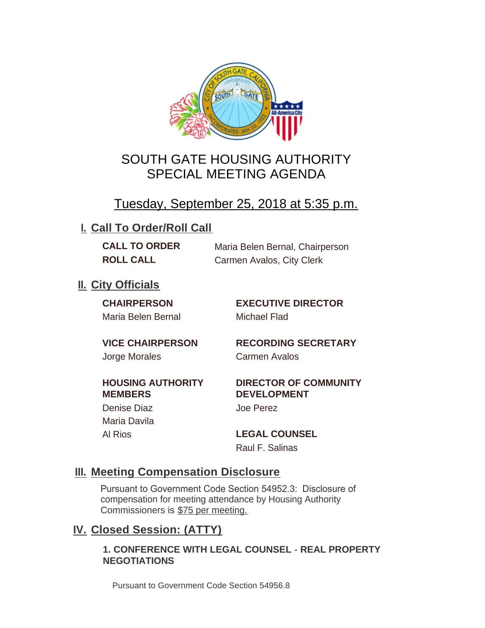

## SOUTH GATE HOUSING AUTHORITY SPECIAL MEETING AGENDA

# Tuesday, September 25, 2018 at 5:35 p.m.

### **I. Call To Order/Roll Call**

**CALL TO ORDER** Maria Belen Bernal, Chairperson **ROLL CALL** Carmen Avalos, City Clerk

### **II.** City Officials

Maria Belen Bernal Michael Flad

**CHAIRPERSON EXECUTIVE DIRECTOR**

Jorge Morales Carmen Avalos

**VICE CHAIRPERSON RECORDING SECRETARY**

#### **HOUSING AUTHORITY MEMBERS**

Denise Diaz Joe Perez Maria Davila

#### **DIRECTOR OF COMMUNITY DEVELOPMENT**

Al Rios **LEGAL COUNSEL** Raul F. Salinas

### **Meeting Compensation Disclosure III.**

Pursuant to Government Code Section 54952.3: Disclosure of compensation for meeting attendance by Housing Authority Commissioners is \$75 per meeting.

### **Closed Session: (ATTY) IV.**

#### **1. CONFERENCE WITH LEGAL COUNSEL - REAL PROPERTY NEGOTIATIONS**

Pursuant to Government Code Section 54956.8